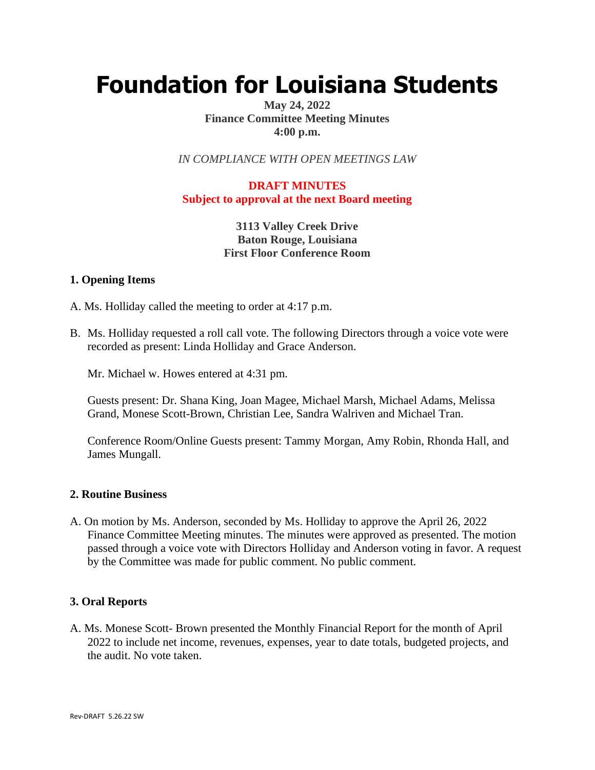# **Foundation for Louisiana Students**

## **May 24, 2022 Finance Committee Meeting Minutes 4:00 p.m.**

*IN COMPLIANCE WITH OPEN MEETINGS LAW*

# **DRAFT MINUTES Subject to approval at the next Board meeting**

**3113 Valley Creek Drive Baton Rouge, Louisiana First Floor Conference Room**

#### **1. Opening Items**

A. Ms. Holliday called the meeting to order at 4:17 p.m.

B. Ms. Holliday requested a roll call vote. The following Directors through a voice vote were recorded as present: Linda Holliday and Grace Anderson.

Mr. Michael w. Howes entered at 4:31 pm.

Guests present: Dr. Shana King, Joan Magee, Michael Marsh, Michael Adams, Melissa Grand, Monese Scott-Brown, Christian Lee, Sandra Walriven and Michael Tran.

Conference Room/Online Guests present: Tammy Morgan, Amy Robin, Rhonda Hall, and James Mungall.

#### **2. Routine Business**

A. On motion by Ms. Anderson, seconded by Ms. Holliday to approve the April 26, 2022 Finance Committee Meeting minutes. The minutes were approved as presented. The motion passed through a voice vote with Directors Holliday and Anderson voting in favor. A request by the Committee was made for public comment. No public comment.

#### **3. Oral Reports**

A. Ms. Monese Scott- Brown presented the Monthly Financial Report for the month of April 2022 to include net income, revenues, expenses, year to date totals, budgeted projects, and the audit. No vote taken.